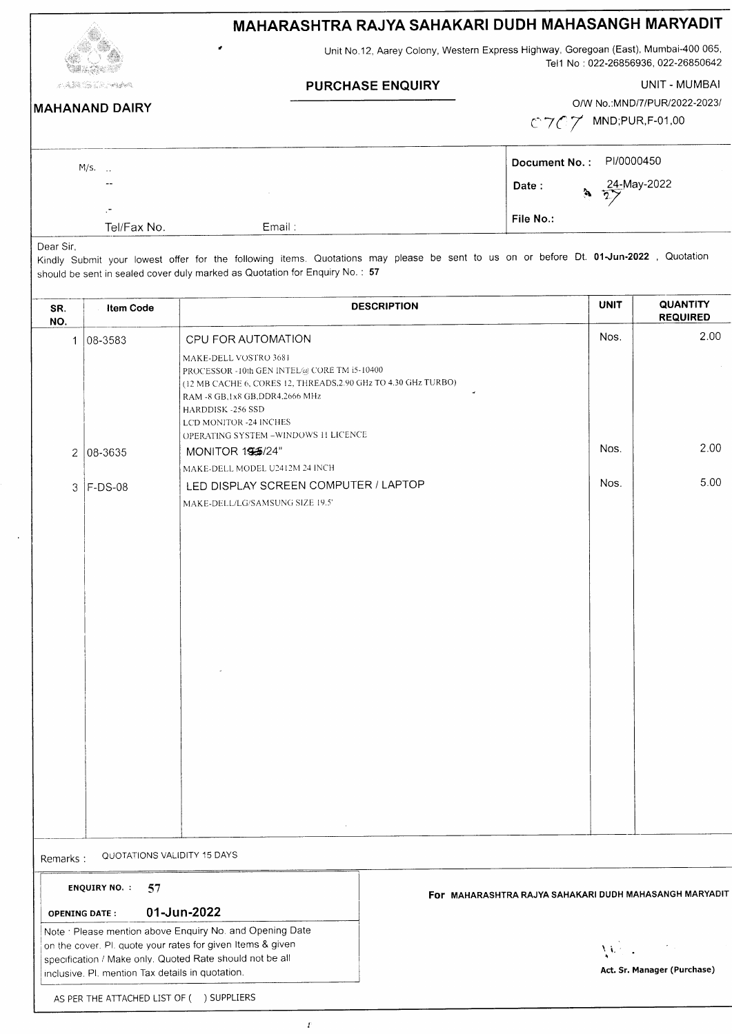## MAHARASHTRA RAJYA SAHAKARI DUDH MAHASANGH MARYADIT

Unit No.12, Aarey Colony, Western Express Highway, Goregoan (East), Mumbai-4OO 065, Tel 1 No: 022-26856936, 022-26850642

PURCHASE ENQUIRY UNIT - MUMBAI

 $\mathcal{L}^{\mathcal{A}}$  . In the set of the set of the set of the set of the set of the set of the set of the set of the set of the set of the set of the set of the set of the set of the set of the set of the set of the set of th MAHANAND DAIRY  $\overline{ }$ 

O/W No.:MND/7/PUR/2022-2023/

 $C7C7$  MND;PUR,F-01,00

| M/s. |                                         |        | Document No.: PI/0000450 |                                 |
|------|-----------------------------------------|--------|--------------------------|---------------------------------|
|      | $- -$                                   |        | Date :                   | $\frac{24 \text{ May-2022}}{2}$ |
|      | $\overline{\phantom{a}}$<br>Tel/Fax No. | Email: | File No.:                |                                 |

Dear Sir,

-<br>Kindly Submit your lowest offer for the following items. Quotations may please be sent to us on or before Dt. 01-Jun-2022, Quotation should be sent in sealed cover duly marked as Quotation for Enquiry No. : <sup>57</sup>

| SR.<br>NO.                | <b>Item Code</b> |                                                                                                                                                                                                                                                                    | <b>DESCRIPTION</b>                                     | <b>UNIT</b> | <b>QUANTITY</b><br><b>REQUIRED</b> |
|---------------------------|------------------|--------------------------------------------------------------------------------------------------------------------------------------------------------------------------------------------------------------------------------------------------------------------|--------------------------------------------------------|-------------|------------------------------------|
| $\mathbf{1}$              | 08-3583          | CPU FOR AUTOMATION                                                                                                                                                                                                                                                 |                                                        | Nos.        | 2.00                               |
|                           |                  | MAKE-DELL VOSTRO 3681<br>PROCESSOR - 10th GEN INTEL@ CORE TM i5-10400<br>(12 MB CACHE 6, CORES 12, THREADS, 2.90 GHz TO 4.30 GHz TURBO)<br>RAM -8 GB, 1x8 GB, DDR4, 2666 MHz<br>HARDDISK-256 SSD<br>LCD MONITOR -24 INCHES<br>OPERATING SYSTEM -WINDOWS 11 LICENCE |                                                        |             |                                    |
| $\overline{2}$            | $ 08 - 3635 $    | MONITOR 155/24"                                                                                                                                                                                                                                                    |                                                        | Nos.        | 2.00                               |
|                           |                  | MAKE-DELL MODEL U2412M 24 INCH                                                                                                                                                                                                                                     |                                                        | Nos.        | 5.00                               |
| 3                         | $ F-DS-08$       | LED DISPLAY SCREEN COMPUTER / LAPTOP<br>MAKE-DELL/LG/SAMSUNG SIZE 19.5'                                                                                                                                                                                            |                                                        |             |                                    |
|                           |                  |                                                                                                                                                                                                                                                                    |                                                        |             |                                    |
| Remarks:                  |                  | QUOTATIONS VALIDITY 15 DAYS                                                                                                                                                                                                                                        |                                                        |             |                                    |
| <b>ENQUIRY NO.:</b><br>57 |                  |                                                                                                                                                                                                                                                                    | For MAHARASHTRA RAJYA SAHAKARI DUDH MAHASANGH MARYADIT |             |                                    |

oPENING DATE: O1.JUN.2O22

Note : Please mention above Enquiry No. and Opening Date on the cover. Pl. quote your rates for given Items & given specification / Make only. Quoted Rate should not be all inclusive. Pl. mention Tax details in quotation.

r' i. ' I Act. Sr. Manager (Purchase)

AS PER THE ATTACHED LIST OF ( ) SUPPLIERS